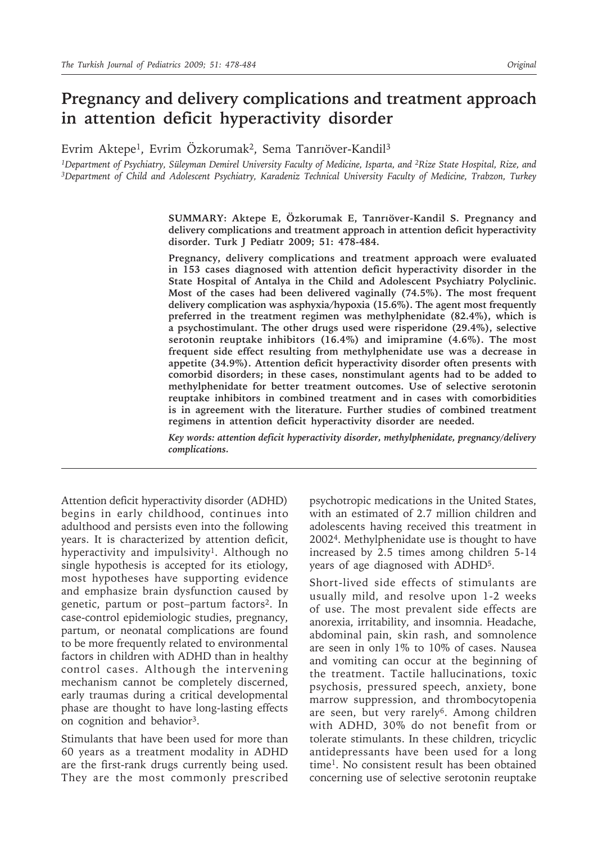# **Pregnancy and delivery complications and treatment approach in attention deficit hyperactivity disorder**

Evrim Aktepe1, Evrim Özkorumak2, Sema Tanrıöver-Kandil3

*1Department of Psychiatry, Süleyman Demirel University Faculty of Medicine, Isparta, and 2Rize State Hospital, Rize, and 3Department of Child and Adolescent Psychiatry, Karadeniz Technical University Faculty of Medicine, Trabzon, Turkey*

> **SUMMARY: Aktepe E, Özkorumak E, Tanrıöver-Kandil S. Pregnancy and delivery complications and treatment approach in attention deficit hyperactivity disorder. Turk J Pediatr 2009; 51: 478-484.**

> **Pregnancy, delivery complications and treatment approach were evaluated in 153 cases diagnosed with attention deficit hyperactivity disorder in the State Hospital of Antalya in the Child and Adolescent Psychiatry Polyclinic. Most of the cases had been delivered vaginally (74.5%). The most frequent delivery complication was asphyxia/hypoxia (15.6%). The agent most frequently preferred in the treatment regimen was methylphenidate (82.4%), which is a psychostimulant. The other drugs used were risperidone (29.4%), selective serotonin reuptake inhibitors (16.4%) and imipramine (4.6%). The most frequent side effect resulting from methylphenidate use was a decrease in appetite (34.9%). Attention deficit hyperactivity disorder often presents with comorbid disorders; in these cases, nonstimulant agents had to be added to methylphenidate for better treatment outcomes. Use of selective serotonin reuptake inhibitors in combined treatment and in cases with comorbidities is in agreement with the literature. Further studies of combined treatment regimens in attention deficit hyperactivity disorder are needed.**

> *Key words: attention deficit hyperactivity disorder, methylphenidate, pregnancy/delivery complications.*

Attention deficit hyperactivity disorder (ADHD) begins in early childhood, continues into adulthood and persists even into the following years. It is characterized by attention deficit, hyperactivity and impulsivity<sup>1</sup>. Although no single hypothesis is accepted for its etiology, most hypotheses have supporting evidence and emphasize brain dysfunction caused by genetic, partum or post-partum factors<sup>2</sup>. In case-control epidemiologic studies, pregnancy, partum, or neonatal complications are found to be more frequently related to environmental factors in children with ADHD than in healthy control cases. Although the intervening mechanism cannot be completely discerned, early traumas during a critical developmental phase are thought to have long-lasting effects on cognition and behavior3.

Stimulants that have been used for more than 60 years as a treatment modality in ADHD are the first-rank drugs currently being used. They are the most commonly prescribed psychotropic medications in the United States, with an estimated of 2.7 million children and adolescents having received this treatment in 20024. Methylphenidate use is thought to have increased by 2.5 times among children 5-14 years of age diagnosed with ADHD5.

Short-lived side effects of stimulants are usually mild, and resolve upon 1-2 weeks of use. The most prevalent side effects are anorexia, irritability, and insomnia. Headache, abdominal pain, skin rash, and somnolence are seen in only 1% to 10% of cases. Nausea and vomiting can occur at the beginning of the treatment. Tactile hallucinations, toxic psychosis, pressured speech, anxiety, bone marrow suppression, and thrombocytopenia are seen, but very rarely<sup>6</sup>. Among children with ADHD, 30% do not benefit from or tolerate stimulants. In these children, tricyclic antidepressants have been used for a long time1. No consistent result has been obtained concerning use of selective serotonin reuptake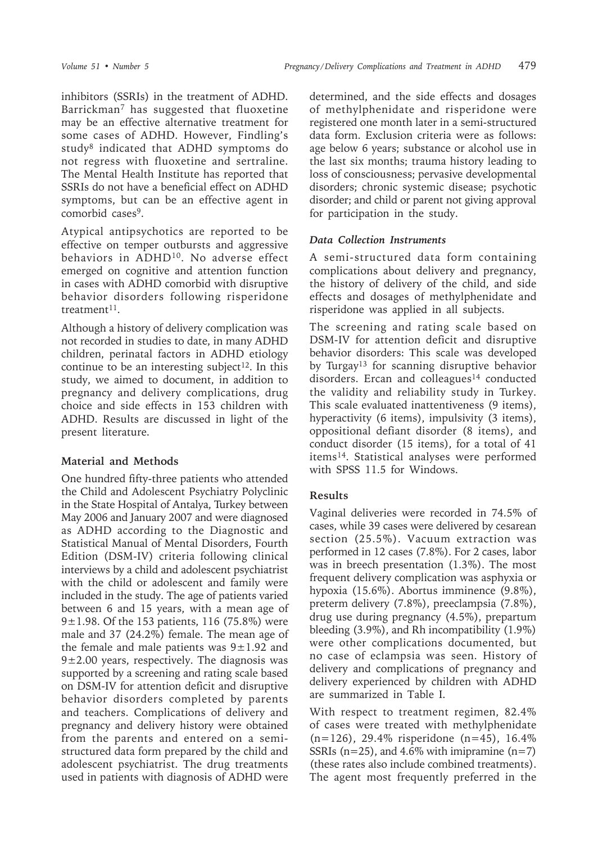inhibitors (SSRIs) in the treatment of ADHD. Barrickman7 has suggested that fluoxetine may be an effective alternative treatment for some cases of ADHD. However, Findling's study8 indicated that ADHD symptoms do not regress with fluoxetine and sertraline. The Mental Health Institute has reported that SSRIs do not have a beneficial effect on ADHD symptoms, but can be an effective agent in comorbid cases<sup>9</sup>.

Atypical antipsychotics are reported to be effective on temper outbursts and aggressive behaviors in ADHD<sup>10</sup>. No adverse effect emerged on cognitive and attention function in cases with ADHD comorbid with disruptive behavior disorders following risperidone treatment<sup>11</sup>.

Although a history of delivery complication was not recorded in studies to date, in many ADHD children, perinatal factors in ADHD etiology continue to be an interesting subject<sup>12</sup>. In this study, we aimed to document, in addition to pregnancy and delivery complications, drug choice and side effects in 153 children with ADHD. Results are discussed in light of the present literature.

#### **Material and Methods**

One hundred fifty-three patients who attended the Child and Adolescent Psychiatry Polyclinic in the State Hospital of Antalya, Turkey between May 2006 and January 2007 and were diagnosed as ADHD according to the Diagnostic and Statistical Manual of Mental Disorders, Fourth Edition (DSM-IV) criteria following clinical interviews by a child and adolescent psychiatrist with the child or adolescent and family were included in the study. The age of patients varied between 6 and 15 years, with a mean age of  $9±1.98$ . Of the 153 patients, 116 (75.8%) were male and 37 (24.2%) female. The mean age of the female and male patients was  $9\pm1.92$  and  $9\pm2.00$  years, respectively. The diagnosis was supported by a screening and rating scale based on DSM-IV for attention deficit and disruptive behavior disorders completed by parents and teachers. Complications of delivery and pregnancy and delivery history were obtained from the parents and entered on a semistructured data form prepared by the child and adolescent psychiatrist. The drug treatments used in patients with diagnosis of ADHD were

determined, and the side effects and dosages of methylphenidate and risperidone were registered one month later in a semi-structured data form. Exclusion criteria were as follows: age below 6 years; substance or alcohol use in the last six months; trauma history leading to loss of consciousness; pervasive developmental disorders; chronic systemic disease; psychotic disorder; and child or parent not giving approval for participation in the study.

### *Data Collection Instruments*

A semi-structured data form containing complications about delivery and pregnancy, the history of delivery of the child, and side effects and dosages of methylphenidate and risperidone was applied in all subjects.

The screening and rating scale based on DSM-IV for attention deficit and disruptive behavior disorders: This scale was developed by Turgay<sup>13</sup> for scanning disruptive behavior disorders. Ercan and colleagues<sup>14</sup> conducted the validity and reliability study in Turkey. This scale evaluated inattentiveness (9 items), hyperactivity (6 items), impulsivity (3 items), oppositional defiant disorder (8 items), and conduct disorder (15 items), for a total of 41 items14. Statistical analyses were performed with SPSS 11.5 for Windows.

# **Results**

Vaginal deliveries were recorded in 74.5% of cases, while 39 cases were delivered by cesarean section (25.5%). Vacuum extraction was performed in 12 cases (7.8%). For 2 cases, labor was in breech presentation (1.3%). The most frequent delivery complication was asphyxia or hypoxia (15.6%). Abortus imminence (9.8%), preterm delivery (7.8%), preeclampsia (7.8%), drug use during pregnancy (4.5%), prepartum bleeding (3.9%), and Rh incompatibility (1.9%) were other complications documented, but no case of eclampsia was seen. History of delivery and complications of pregnancy and delivery experienced by children with ADHD are summarized in Table I.

With respect to treatment regimen, 82.4% of cases were treated with methylphenidate (n=126), 29.4% risperidone (n=45), 16.4% SSRIs ( $n=25$ ), and 4.6% with imipramine ( $n=7$ ) (these rates also include combined treatments). The agent most frequently preferred in the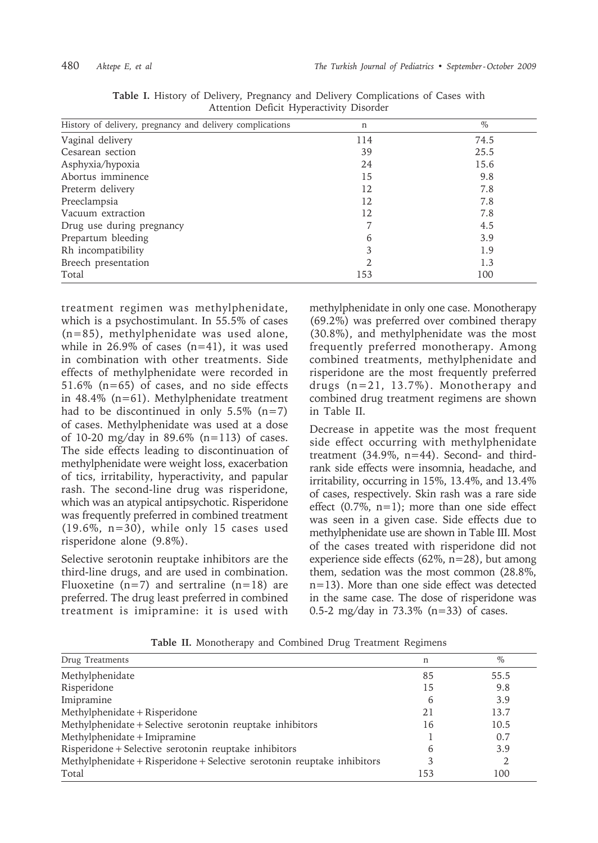| History of delivery, pregnancy and delivery complications | n             | $\%$ |
|-----------------------------------------------------------|---------------|------|
| Vaginal delivery                                          | 114           | 74.5 |
| Cesarean section                                          | 39            | 25.5 |
| Asphyxia/hypoxia                                          | 24            | 15.6 |
| Abortus imminence                                         | 15            | 9.8  |
| Preterm delivery                                          | 12            | 7.8  |
| Preeclampsia                                              | 12            | 7.8  |
| Vacuum extraction                                         | 12            | 7.8  |
| Drug use during pregnancy                                 |               | 4.5  |
| Prepartum bleeding                                        | 6             | 3.9  |
| Rh incompatibility                                        | 3             | 1.9  |
| Breech presentation                                       | $\mathcal{P}$ | 1.3  |
| Total                                                     | 153           | 100  |

**Table I.** History of Delivery, Pregnancy and Delivery Complications of Cases with Attention Deficit Hyperactivity Disorder

treatment regimen was methylphenidate, which is a psychostimulant. In 55.5% of cases (n=85), methylphenidate was used alone, while in  $26.9\%$  of cases (n=41), it was used in combination with other treatments. Side effects of methylphenidate were recorded in 51.6% (n=65) of cases, and no side effects in 48.4% (n=61). Methylphenidate treatment had to be discontinued in only  $5.5\%$  (n=7) of cases. Methylphenidate was used at a dose of 10-20 mg/day in 89.6% (n=113) of cases. The side effects leading to discontinuation of methylphenidate were weight loss, exacerbation of tics, irritability, hyperactivity, and papular rash. The second-line drug was risperidone, which was an atypical antipsychotic. Risperidone was frequently preferred in combined treatment  $(19.6\%, n=30)$ , while only 15 cases used risperidone alone (9.8%).

Selective serotonin reuptake inhibitors are the third-line drugs, and are used in combination. Fluoxetine ( $n=7$ ) and sertraline ( $n=18$ ) are preferred. The drug least preferred in combined treatment is imipramine: it is used with methylphenidate in only one case. Monotherapy (69.2%) was preferred over combined therapy (30.8%), and methylphenidate was the most frequently preferred monotherapy. Among combined treatments, methylphenidate and risperidone are the most frequently preferred drugs (n=21, 13.7%). Monotherapy and combined drug treatment regimens are shown in Table II.

Decrease in appetite was the most frequent side effect occurring with methylphenidate treatment (34.9%, n=44). Second- and thirdrank side effects were insomnia, headache, and irritability, occurring in 15%, 13.4%, and 13.4% of cases, respectively. Skin rash was a rare side effect  $(0.7\% \text{, } n=1)$ ; more than one side effect was seen in a given case. Side effects due to methylphenidate use are shown in Table III. Most of the cases treated with risperidone did not experience side effects (62%, n=28), but among them, sedation was the most common (28.8%, n=13). More than one side effect was detected in the same case. The dose of risperidone was 0.5-2 mg/day in 73.3% (n=33) of cases.

**Table II.** Monotherapy and Combined Drug Treatment Regimens

| Drug Treatments                                                         | n   | $\%$ |
|-------------------------------------------------------------------------|-----|------|
| Methylphenidate                                                         | 85  | 55.5 |
| Risperidone                                                             | 15  | 9.8  |
| Imipramine                                                              | 6   | 3.9  |
| Methylphenidate + Risperidone                                           | 21  | 13.7 |
| Methylphenidate + Selective serotonin reuptake inhibitors               | 16  | 10.5 |
| Methylphenidate + Imipramine                                            |     | 0.7  |
| Risperidone + Selective serotonin reuptake inhibitors                   | 6   | 3.9  |
| Methylphenidate + Risperidone + Selective serotonin reuptake inhibitors | 3   | 2    |
| Total                                                                   | 153 | 100  |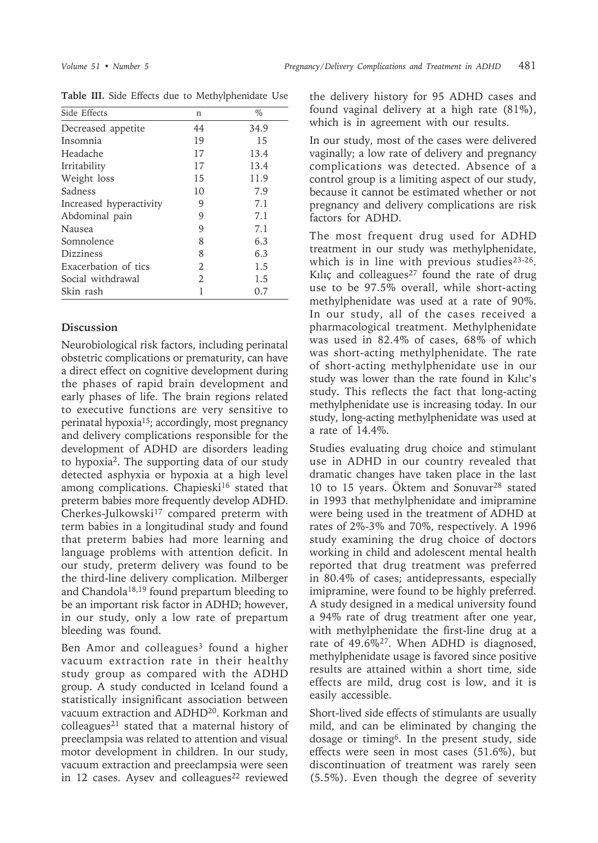| Side Effects            | n  | $\%$ |
|-------------------------|----|------|
| Decreased appetite      | 44 | 34.9 |
| Insomnia                | 19 | 15   |
| Headache                | 17 | 13.4 |
| Irritability            | 17 | 13.4 |
| Weight loss             | 15 | 11.9 |
| Sadness                 | 10 | 7.9  |
| Increased hyperactivity | 9  | 7.1  |
| Abdominal pain          | 9  | 7.1  |
| <b>Nausea</b>           | 9  | 7.1  |
| Somnolence              | 8  | 6.3  |
| <b>Dizziness</b>        | 8  | 6.3  |
| Exacerbation of tics    | 2  | 1.5  |
| Social withdrawal       | 2  | 1.5  |
| Skin rash               |    | 0.7  |

**Table III.** Side Effects due to Methylphenidate Use

# **Discussion**

Neurobiological risk factors, including perinatal obstetric complications or prematurity, can have a direct effect on cognitive development during the phases of rapid brain development and early phases of life. The brain regions related to executive functions are very sensitive to perinatal hypoxia<sup>15</sup>; accordingly, most pregnancy and delivery complications responsible for the development of ADHD are disorders leading to hypoxia2. The supporting data of our study detected asphyxia or hypoxia at a high level among complications. Chapieski<sup>16</sup> stated that preterm babies more frequently develop ADHD. Cherkes-Julkowski<sup>17</sup> compared preterm with term babies in a longitudinal study and found that preterm babies had more learning and language problems with attention deficit. In our study, preterm delivery was found to be the third-line delivery complication. Milberger and Chandola<sup>18,19</sup> found prepartum bleeding to be an important risk factor in ADHD; however, in our study, only a low rate of prepartum bleeding was found.

Ben Amor and colleagues<sup>3</sup> found a higher vacuum extraction rate in their healthy study group as compared with the ADHD group. A study conducted in Iceland found a statistically insignificant association between vacuum extraction and ADHD20. Korkman and colleagues21 stated that a maternal history of preeclampsia was related to attention and visual motor development in children. In our study, vacuum extraction and preeclampsia were seen in 12 cases. Aysev and colleagues<sup>22</sup> reviewed

the delivery history for 95 ADHD cases and found vaginal delivery at a high rate (81%), which is in agreement with our results.

In our study, most of the cases were delivered vaginally; a low rate of delivery and pregnancy complications was detected. Absence of a control group is a limiting aspect of our study, because it cannot be estimated whether or not pregnancy and delivery complications are risk factors for ADHD.

The most frequent drug used for ADHD treatment in our study was methylphenidate, which is in line with previous studies $23-26$ . Kılıç and colleagues $27$  found the rate of drug use to be 97.5% overall, while short-acting methylphenidate was used at a rate of 90%. In our study, all of the cases received a pharmacological treatment. Methylphenidate was used in 82.4% of cases, 68% of which was short-acting methylphenidate. The rate of short-acting methylphenidate use in our study was lower than the rate found in Kılıc's study. This reflects the fact that long-acting methylphenidate use is increasing today. In our study, long-acting methylphenidate was used at a rate of 14.4%.

Studies evaluating drug choice and stimulant use in ADHD in our country revealed that dramatic changes have taken place in the last 10 to 15 years. Öktem and Sonuvar28 stated in 1993 that methylphenidate and imipramine were being used in the treatment of ADHD at rates of 2%-3% and 70%, respectively. A 1996 study examining the drug choice of doctors working in child and adolescent mental health reported that drug treatment was preferred in 80.4% of cases; antidepressants, especially imipramine, were found to be highly preferred. A study designed in a medical university found a 94% rate of drug treatment after one year, with methylphenidate the first-line drug at a rate of 49.6%27. When ADHD is diagnosed, methylphenidate usage is favored since positive results are attained within a short time, side effects are mild, drug cost is low, and it is easily accessible.

Short-lived side effects of stimulants are usually mild, and can be eliminated by changing the dosage or timing6. In the present study, side effects were seen in most cases (51.6%), but discontinuation of treatment was rarely seen (5.5%). Even though the degree of severity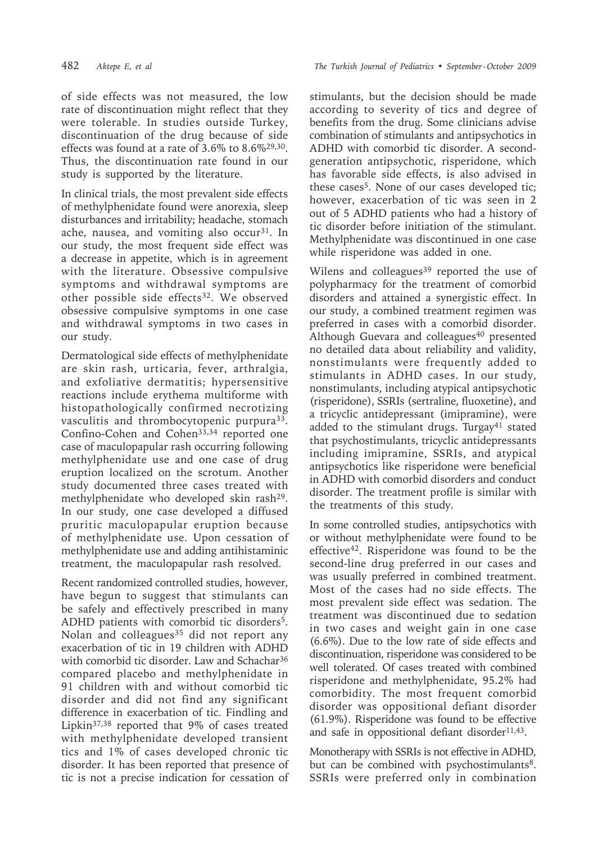482 *Aktepe E, et al The Turkish Journal of Pediatrics • September - October 2009*

of side effects was not measured, the low rate of discontinuation might reflect that they were tolerable. In studies outside Turkey, discontinuation of the drug because of side effects was found at a rate of 3.6% to 8.6%29,30. Thus, the discontinuation rate found in our study is supported by the literature.

In clinical trials, the most prevalent side effects of methylphenidate found were anorexia, sleep disturbances and irritability; headache, stomach ache, nausea, and vomiting also occur<sup>31</sup>. In our study, the most frequent side effect was a decrease in appetite, which is in agreement with the literature. Obsessive compulsive symptoms and withdrawal symptoms are other possible side effects<sup>32</sup>. We observed obsessive compulsive symptoms in one case and withdrawal symptoms in two cases in our study.

Dermatological side effects of methylphenidate are skin rash, urticaria, fever, arthralgia, and exfoliative dermatitis; hypersensitive reactions include erythema multiforme with histopathologically confirmed necrotizing vasculitis and thrombocytopenic purpura<sup>33</sup>. Confino-Cohen and Cohen<sup>33,34</sup> reported one case of maculopapular rash occurring following methylphenidate use and one case of drug eruption localized on the scrotum. Another study documented three cases treated with methylphenidate who developed skin rash<sup>29</sup>. In our study, one case developed a diffused pruritic maculopapular eruption because of methylphenidate use. Upon cessation of methylphenidate use and adding antihistaminic treatment, the maculopapular rash resolved.

Recent randomized controlled studies, however, have begun to suggest that stimulants can be safely and effectively prescribed in many ADHD patients with comorbid tic disorders<sup>5</sup>. Nolan and colleagues<sup>35</sup> did not report any exacerbation of tic in 19 children with ADHD with comorbid tic disorder. Law and Schachar<sup>36</sup> compared placebo and methylphenidate in 91 children with and without comorbid tic disorder and did not find any significant difference in exacerbation of tic. Findling and Lipkin37,38 reported that 9% of cases treated with methylphenidate developed transient tics and 1% of cases developed chronic tic disorder. It has been reported that presence of tic is not a precise indication for cessation of stimulants, but the decision should be made according to severity of tics and degree of benefits from the drug. Some clinicians advise combination of stimulants and antipsychotics in ADHD with comorbid tic disorder. A secondgeneration antipsychotic, risperidone, which has favorable side effects, is also advised in these cases<sup>5</sup>. None of our cases developed tic; however, exacerbation of tic was seen in 2 out of 5 ADHD patients who had a history of tic disorder before initiation of the stimulant. Methylphenidate was discontinued in one case while risperidone was added in one.

Wilens and colleagues<sup>39</sup> reported the use of polypharmacy for the treatment of comorbid disorders and attained a synergistic effect. In our study, a combined treatment regimen was preferred in cases with a comorbid disorder. Although Guevara and colleagues<sup>40</sup> presented no detailed data about reliability and validity, nonstimulants were frequently added to stimulants in ADHD cases. In our study, nonstimulants, including atypical antipsychotic (risperidone), SSRIs (sertraline, fluoxetine), and a tricyclic antidepressant (imipramine), were added to the stimulant drugs. Turgay<sup>41</sup> stated that psychostimulants, tricyclic antidepressants including imipramine, SSRIs, and atypical antipsychotics like risperidone were beneficial in ADHD with comorbid disorders and conduct disorder. The treatment profile is similar with the treatments of this study.

In some controlled studies, antipsychotics with or without methylphenidate were found to be effective<sup>42</sup>. Risperidone was found to be the second-line drug preferred in our cases and was usually preferred in combined treatment. Most of the cases had no side effects. The most prevalent side effect was sedation. The treatment was discontinued due to sedation in two cases and weight gain in one case (6.6%). Due to the low rate of side effects and discontinuation, risperidone was considered to be well tolerated. Of cases treated with combined risperidone and methylphenidate, 95.2% had comorbidity. The most frequent comorbid disorder was oppositional defiant disorder (61.9%). Risperidone was found to be effective and safe in oppositional defiant disorder<sup>11,43</sup>.

Monotherapy with SSRIs is not effective in ADHD, but can be combined with psychostimulants<sup>8</sup>. SSRIs were preferred only in combination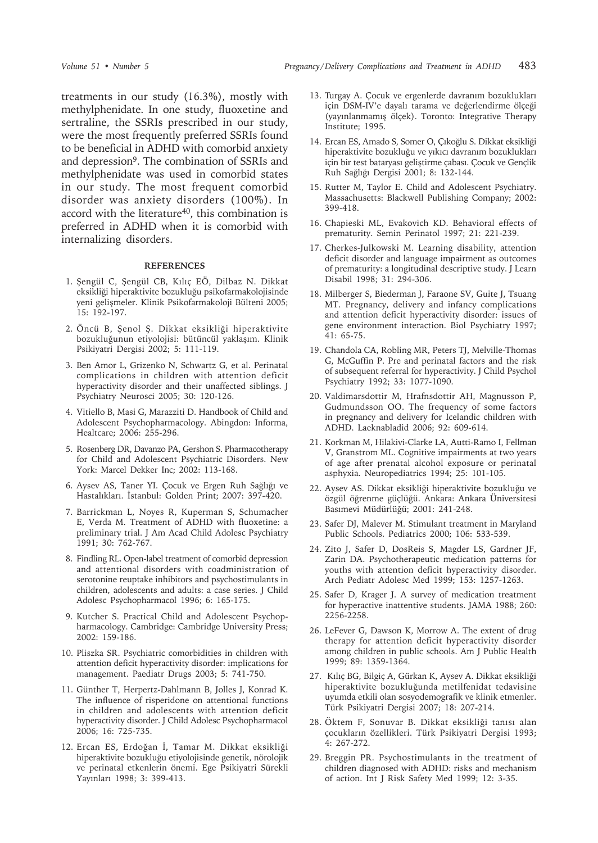treatments in our study (16.3%), mostly with methylphenidate. In one study, fluoxetine and sertraline, the SSRIs prescribed in our study, were the most frequently preferred SSRIs found to be beneficial in ADHD with comorbid anxiety and depression<sup>9</sup>. The combination of SSRIs and methylphenidate was used in comorbid states in our study. The most frequent comorbid disorder was anxiety disorders (100%). In accord with the literature<sup>40</sup>, this combination is preferred in ADHD when it is comorbid with internalizing disorders.

#### **REFERENCES**

- 1. Şengül C, Şengül CB, Kılıç EÖ, Dilbaz N. Dikkat eksikliği hiperaktivite bozukluğu psikofarmakolojisinde yeni gelişmeler. Klinik Psikofarmakoloji Bülteni 2005; 15: 192-197.
- 2. Öncü B, Şenol Ş. Dikkat eksikliği hiperaktivite bozukluğunun etiyolojisi: bütüncül yaklaşım. Klinik Psikiyatri Dergisi 2002; 5: 111-119.
- 3. Ben Amor L, Grizenko N, Schwartz G, et al. Perinatal complications in children with attention deficit hyperactivity disorder and their unaffected siblings. J Psychiatry Neurosci 2005; 30: 120-126.
- 4. Vitiello B, Masi G, Marazziti D. Handbook of Child and Adolescent Psychopharmacology. Abingdon: Informa, Healtcare; 2006: 255-296.
- 5. Rosenberg DR, Davanzo PA, Gershon S. Pharmacotherapy for Child and Adolescent Psychiatric Disorders. New York: Marcel Dekker Inc; 2002: 113-168.
- 6. Aysev AS, Taner YI. Çocuk ve Ergen Ruh Sağlığı ve Hastalıkları. İstanbul: Golden Print; 2007: 397-420.
- 7. Barrickman L, Noyes R, Kuperman S, Schumacher E, Verda M. Treatment of ADHD with fluoxetine: a preliminary trial. J Am Acad Child Adolesc Psychiatry 1991; 30: 762-767.
- 8. Findling RL. Open-label treatment of comorbid depression and attentional disorders with coadministration of serotonine reuptake inhibitors and psychostimulants in children, adolescents and adults: a case series. J Child Adolesc Psychopharmacol 1996; 6: 165-175.
- 9. Kutcher S. Practical Child and Adolescent Psychopharmacology. Cambridge: Cambridge University Press; 2002: 159-186.
- 10. Pliszka SR. Psychiatric comorbidities in children with attention deficit hyperactivity disorder: implications for management. Paediatr Drugs 2003; 5: 741-750.
- 11. Günther T, Herpertz-Dahlmann B, Jolles J, Konrad K. The influence of risperidone on attentional functions in children and adolescents with attention deficit hyperactivity disorder. J Child Adolesc Psychopharmacol 2006; 16: 725-735.
- 12. Ercan ES, Erdoğan İ, Tamar M. Dikkat eksikliği hiperaktivite bozukluğu etiyolojisinde genetik, nörolojik ve perinatal etkenlerin önemi. Ege Psikiyatri Sürekli Yayınları 1998; 3: 399-413.
- 13. Turgay A. Çocuk ve ergenlerde davranım bozuklukları için DSM-IV'e dayalı tarama ve değerlendirme ölçeği (yayınlanmamış ölçek). Toronto: Integrative Therapy Institute; 1995.
- 14. Ercan ES, Amado S, Somer O, Çıkoğlu S. Dikkat eksikliği hiperaktivite bozukluğu ve yıkıcı davranım bozuklukları için bir test bataryası geliştirme çabası. Çocuk ve Gençlik Ruh Sağlığı Dergisi 2001; 8: 132-144.
- 15. Rutter M, Taylor E. Child and Adolescent Psychiatry. Massachusetts: Blackwell Publishing Company; 2002: 399-418.
- 16. Chapieski ML, Evakovich KD. Behavioral effects of prematurity. Semin Perinatol 1997; 21: 221-239.
- 17. Cherkes-Julkowski M. Learning disability, attention deficit disorder and language impairment as outcomes of prematurity: a longitudinal descriptive study. J Learn Disabil 1998; 31: 294-306.
- 18. Milberger S, Biederman J, Faraone SV, Guite J, Tsuang MT. Pregnancy, delivery and infancy complications and attention deficit hyperactivity disorder: issues of gene environment interaction. Biol Psychiatry 1997; 41: 65-75.
- 19. Chandola CA, Robling MR, Peters TJ, Melville-Thomas G, McGuffin P. Pre and perinatal factors and the risk of subsequent referral for hyperactivity. J Child Psychol Psychiatry 1992; 33: 1077-1090.
- 20. Valdimarsdottir M, Hrafnsdottir AH, Magnusson P, Gudmundsson OO. The frequency of some factors in pregnancy and delivery for Icelandic children with ADHD. Laeknabladid 2006; 92: 609-614.
- 21. Korkman M, Hilakivi-Clarke LA, Autti-Ramo I, Fellman V, Granstrom ML. Cognitive impairments at two years of age after prenatal alcohol exposure or perinatal asphyxia. Neuropediatrics 1994; 25: 101-105.
- 22. Aysev AS. Dikkat eksikliği hiperaktivite bozukluğu ve özgül öğrenme güçlüğü. Ankara: Ankara Üniversitesi Basımevi Müdürlüğü; 2001: 241-248.
- 23. Safer DJ, Malever M. Stimulant treatment in Maryland Public Schools. Pediatrics 2000; 106: 533-539.
- 24. Zito J, Safer D, DosReis S, Magder LS, Gardner JF, Zarin DA. Psychotherapeutic medication patterns for youths with attention deficit hyperactivity disorder. Arch Pediatr Adolesc Med 1999; 153: 1257-1263.
- 25. Safer D, Krager J. A survey of medication treatment for hyperactive inattentive students. JAMA 1988; 260: 2256-2258.
- 26. LeFever G, Dawson K, Morrow A. The extent of drug therapy for attention deficit hyperactivity disorder among children in public schools. Am J Public Health 1999; 89: 1359-1364.
- 27. Kılıç BG, Bilgiç A, Gürkan K, Aysev A. Dikkat eksikliği hiperaktivite bozukluğunda metilfenidat tedavisine uyumda etkili olan sosyodemografik ve klinik etmenler. Türk Psikiyatri Dergisi 2007; 18: 207-214.
- 28. Öktem F, Sonuvar B. Dikkat eksikliği tanısı alan çocukların özellikleri. Türk Psikiyatri Dergisi 1993; 4: 267-272.
- 29. Breggin PR. Psychostimulants in the treatment of children diagnosed with ADHD: risks and mechanism of action. Int J Risk Safety Med 1999; 12: 3-35.